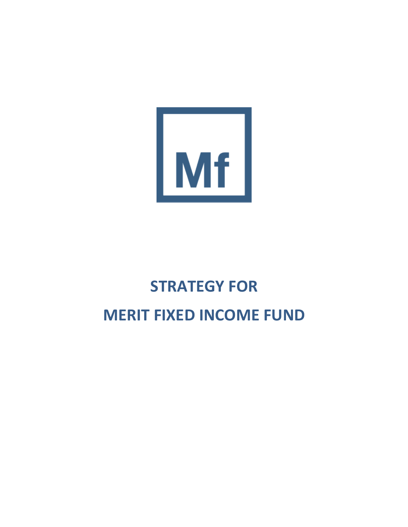

# **STRATEGY FOR MERIT FIXED INCOME FUND**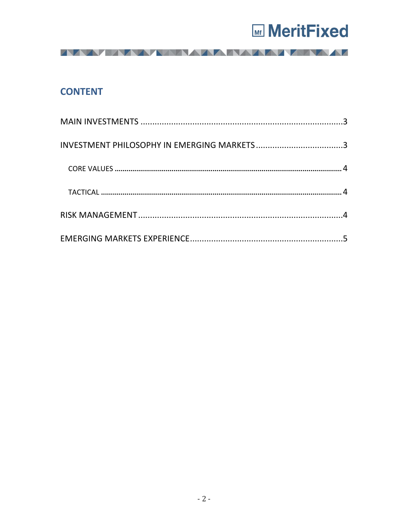

AAAAAAAAAAAAAAAAAAAAAA

## **CONTENT**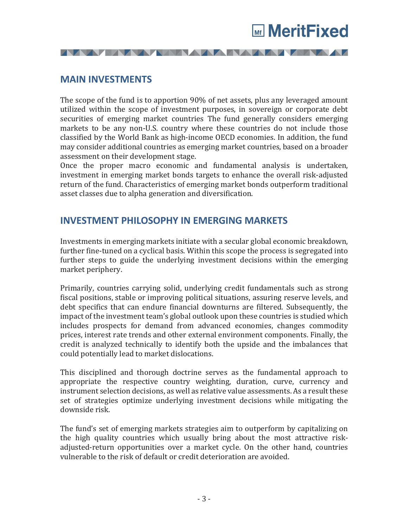

**MAIN INVESTMENTS**

The scope of the fund is to apportion 90% of net assets, plus any leveraged amount utilized within the scope of investment purposes, in sovereign or corporate debt securities of emerging market countries The fund generally considers emerging markets to be any non-U.S. country where these countries do not include those classified by the World Bank as high-income OECD economies. In addition, the fund may consider additional countries as emerging market countries, based on a broader assessment on their development stage.

**IVAN IN YANAN AMAR YANA MA** 

Once the proper macro economic and fundamental analysis is undertaken, investment in emerging market bonds targets to enhance the overall risk-adjusted return of the fund. Characteristics of emerging market bonds outperform traditional asset classes due to alpha generation and diversification.

## **INVESTMENT PHILOSOPHY IN EMERGING MARKETS**

Investments in emerging markets initiate with a secular global economic breakdown, further fine-tuned on a cyclical basis. Within this scope the process is segregated into further steps to guide the underlying investment decisions within the emerging market periphery.

Primarily, countries carrying solid, underlying credit fundamentals such as strong fiscal positions, stable or improving political situations, assuring reserve levels, and debt specifics that can endure financial downturns are filtered. Subsequently, the impact of the investment team's global outlook upon these countries is studied which includes prospects for demand from advanced economies, changes commodity prices, interest rate trends and other external environment components. Finally, the credit is analyzed technically to identify both the upside and the imbalances that could potentially lead to market dislocations.

This disciplined and thorough doctrine serves as the fundamental approach to appropriate the respective country weighting, duration, curve, currency and instrument selection decisions, as well as relative value assessments. As a result these set of strategies optimize underlying investment decisions while mitigating the downside risk.

The fund's set of emerging markets strategies aim to outperform by capitalizing on the high quality countries which usually bring about the most attractive riskadjusted-return opportunities over a market cycle. On the other hand, countries vulnerable to the risk of default or credit deterioration are avoided.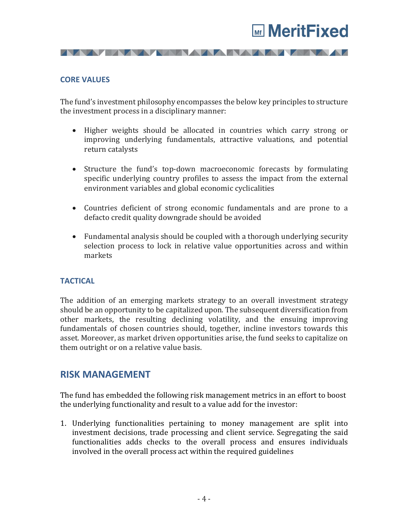

#### **CORE VALUES**

The fund's investment philosophy encompasses the below key principles to structure the investment process in a disciplinary manner:

**IVAN IN YANAN AMAR YANA MA** 

- Higher weights should be allocated in countries which carry strong or improving underlying fundamentals, attractive valuations, and potential return catalysts
- Structure the fund's top-down macroeconomic forecasts by formulating specific underlying country profiles to assess the impact from the external environment variables and global economic cyclicalities
- Countries deficient of strong economic fundamentals and are prone to a defacto credit quality downgrade should be avoided
- Fundamental analysis should be coupled with a thorough underlying security selection process to lock in relative value opportunities across and within markets

#### **TACTICAL**

The addition of an emerging markets strategy to an overall investment strategy should be an opportunity to be capitalized upon. The subsequent diversification from other markets, the resulting declining volatility, and the ensuing improving fundamentals of chosen countries should, together, incline investors towards this asset. Moreover, as market driven opportunities arise, the fund seeks to capitalize on them outright or on a relative value basis.

### **RISK MANAGEMENT**

The fund has embedded the following risk management metrics in an effort to boost the underlying functionality and result to a value add for the investor:

1. Underlying functionalities pertaining to money management are split into investment decisions, trade processing and client service. Segregating the said functionalities adds checks to the overall process and ensures individuals involved in the overall process act within the required guidelines